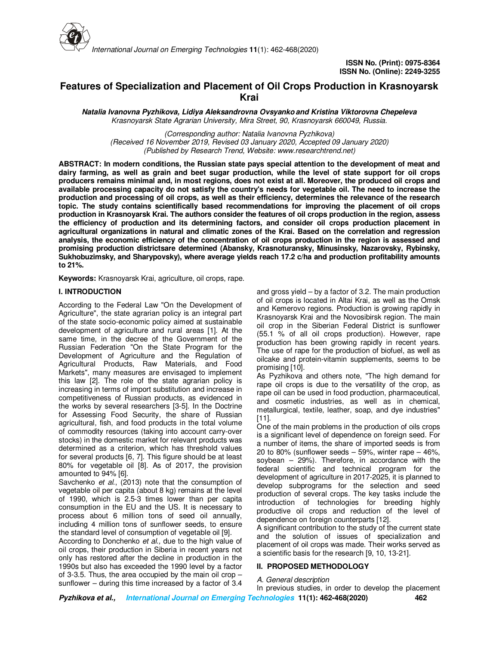

# **Features of Specialization and Placement of Oil Crops Production in Krasnoyarsk Krai**

**Natalia Ivanovna Pyzhikova, Lidiya Aleksandrovna Ovsyankoand Kristina Viktorovna Chepeleva** *Krasnoyarsk State Agrarian University, Mira Street, 90, Krasnoyarsk 660049, Russia.*

*(Corresponding author: Natalia Ivanovna Pyzhikova) (Received 16 November 2019, Revised 03 January 2020, Accepted 09 January 2020) (Published by Research Trend, Website: www.researchtrend.net)*

**ABSTRACT: In modern conditions, the Russian state pays special attention to the development of meat and dairy farming, as well as grain and beet sugar production, while the level of state support for oil crops producers remains minimal and, in most regions, does not exist at all. Moreover, the produced oil crops and available processing capacity do not satisfy the country's needs for vegetable oil. The need to increase the production and processing of oil crops, as well as their efficiency, determines the relevance of the research topic. The study contains scientifically based recommendations for improving the placement of oil crops production in Krasnoyarsk Krai. The authors consider the features of oil crops production in the region, assess the efficiency of production and its determining factors, and consider oil crops production placement in agricultural organizations in natural and climatic zones of the Krai. Based on the correlation and regression analysis, the economic efficiency of the concentration of oil crops production in the region is assessed and promising production districtsare determined (Abansky, Krasnoturansky, Minusinsky, Nazarovsky, Rybinsky, Sukhobuzimsky, and Sharypovsky), where average yields reach 17.2 c/ha and production profitability amounts to 21%.** 

**Keywords:** Krasnoyarsk Krai, agriculture, oil crops, rape.

### **I. INTRODUCTION**

According to the Federal Law "On the Development of Agriculture", the state agrarian policy is an integral part of the state socio-economic policy aimed at sustainable development of agriculture and rural areas [1]. At the same time, in the decree of the Government of the Russian Federation "On the State Program for the Development of Agriculture and the Regulation of Agricultural Products, Raw Materials, and Food Markets", many measures are envisaged to implement this law [2]. The role of the state agrarian policy is increasing in terms of import substitution and increase in competitiveness of Russian products, as evidenced in the works by several researchers [3-5]. In the Doctrine for Assessing Food Security, the share of Russian agricultural, fish, and food products in the total volume of commodity resources (taking into account carry-over stocks) in the domestic market for relevant products was determined as a criterion, which has threshold values for several products [6, 7]. This figure should be at least 80% for vegetable oil [8]. As of 2017, the provision amounted to 94% [6].

Savchenko *et al*., (2013) note that the consumption of vegetable oil per capita (about 8 kg) remains at the level of 1990, which is 2.5-3 times lower than per capita consumption in the EU and the US. It is necessary to process about 6 million tons of seed oil annually, including 4 million tons of sunflower seeds, to ensure the standard level of consumption of vegetable oil [9].

According to Donchenko *et al.,* due to the high value of oil crops, their production in Siberia in recent years not only has restored after the decline in production in the 1990s but also has exceeded the 1990 level by a factor of 3-3.5. Thus, the area occupied by the main oil crop – sunflower – during this time increased by a factor of 3.4

and gross yield – by a factor of 3.2. The main production of oil crops is located in Altai Krai, as well as the Omsk and Kemerovo regions. Production is growing rapidly in Krasnoyarsk Krai and the Novosibirsk region. The main oil crop in the Siberian Federal District is sunflower (55.1 % of all oil crops production). However, rape production has been growing rapidly in recent years. The use of rape for the production of biofuel, as well as oilcake and protein-vitamin supplements, seems to be promising [10].

As Pyzhikova and others note, "The high demand for rape oil crops is due to the versatility of the crop, as rape oil can be used in food production, pharmaceutical, and cosmetic industries, as well as in chemical, metallurgical, textile, leather, soap, and dye industries" [11].

One of the main problems in the production of oils crops is a significant level of dependence on foreign seed. For a number of items, the share of imported seeds is from 20 to 80% (sunflower seeds  $-59%$ , winter rape  $-46%$ , soybean – 29%). Therefore, in accordance with the federal scientific and technical program for the development of agriculture in 2017-2025, it is planned to develop subprograms for the selection and seed production of several crops. The key tasks include the introduction of technologies for breeding highly productive oil crops and reduction of the level of dependence on foreign counterparts [12].

A significant contribution to the study of the current state and the solution of issues of specialization and placement of oil crops was made. Their works served as a scientific basis for the research [9, 10, 13-21].

#### **II. PROPOSED METHODOLOGY**

#### *A. General description*

**Pyzhikova et al., International Journal on Emerging Technologies 11(1): 462-468(2020) 462** In previous studies, in order to develop the placement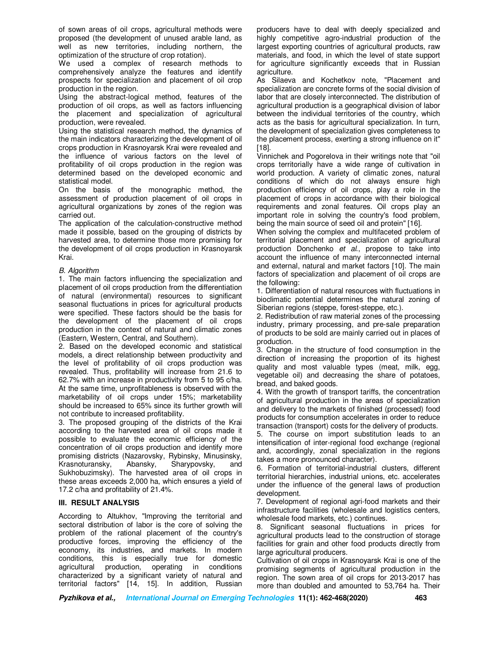of sown areas of oil crops, agricultural methods were proposed (the development of unused arable land, as well as new territories, including northern, the optimization of the structure of crop rotation).

We used a complex of research methods to comprehensively analyze the features and identify prospects for specialization and placement of oil crop production in the region.

Using the abstract-logical method, features of the production of oil crops, as well as factors influencing the placement and specialization of agricultural production, were revealed.

Using the statistical research method, the dynamics of the main indicators characterizing the development of oil crops production in Krasnoyarsk Krai were revealed and the influence of various factors on the level of profitability of oil crops production in the region was determined based on the developed economic and statistical model.

On the basis of the monographic method, the assessment of production placement of oil crops in agricultural organizations by zones of the region was carried out.

The application of the calculation-constructive method made it possible, based on the grouping of districts by harvested area, to determine those more promising for the development of oil crops production in Krasnoyarsk Krai.

#### *B. Algorithm*

1. The main factors influencing the specialization and placement of oil crops production from the differentiation of natural (environmental) resources to significant seasonal fluctuations in prices for agricultural products were specified. These factors should be the basis for the development of the placement of oil crops production in the context of natural and climatic zones (Eastern, Western, Central, and Southern).

2. Based on the developed economic and statistical models, a direct relationship between productivity and the level of profitability of oil crops production was revealed. Thus, profitability will increase from 21.6 to 62.7% with an increase in productivity from 5 to 95 c/ha. At the same time, unprofitableness is observed with the marketability of oil crops under 15%; marketability should be increased to 65% since its further growth will not contribute to increased profitability.

3. The proposed grouping of the districts of the Krai according to the harvested area of oil crops made it possible to evaluate the economic efficiency of the concentration of oil crops production and identify more promising districts (Nazarovsky, Rybinsky, Minusinsky, Krasnoturansky, Abansky, Sharypovsky, and Sukhobuzimsky). The harvested area of oil crops in these areas exceeds 2,000 ha, which ensures a yield of 17.2 c/ha and profitability of 21.4%.

#### **III. RESULT ANALYSIS**

According to Altukhov, "Improving the territorial and sectoral distribution of labor is the core of solving the problem of the rational placement of the country's productive forces, improving the efficiency of the economy, its industries, and markets. In modern conditions, this is especially true for domestic agricultural production, operating in conditions characterized by a significant variety of natural and territorial factors" [14, 15]. In addition, Russian producers have to deal with deeply specialized and highly competitive agro-industrial production of the largest exporting countries of agricultural products, raw materials, and food, in which the level of state support for agriculture significantly exceeds that in Russian agriculture.

As Silaeva and Kochetkov note, "Placement and specialization are concrete forms of the social division of labor that are closely interconnected. The distribution of agricultural production is a geographical division of labor between the individual territories of the country, which acts as the basis for agricultural specialization. In turn, the development of specialization gives completeness to the placement process, exerting a strong influence on it" [18].

Vinnichek and Pogorelova in their writings note that "oil crops territorially have a wide range of cultivation in world production. A variety of climatic zones, natural conditions of which do not always ensure high production efficiency of oil crops, play a role in the placement of crops in accordance with their biological requirements and zonal features. Oil crops play an important role in solving the country's food problem, being the main source of seed oil and protein" [16].

When solving the complex and multifaceted problem of territorial placement and specialization of agricultural production Donchenko *et al*., propose to take into account the influence of many interconnected internal and external, natural and market factors [10]. The main factors of specialization and placement of oil crops are the following:

1. Differentiation of natural resources with fluctuations in bioclimatic potential determines the natural zoning of Siberian regions (steppe, forest-steppe, etc.).

2. Redistribution of raw material zones of the processing industry, primary processing, and pre-sale preparation of products to be sold are mainly carried out in places of production.

3. Change in the structure of food consumption in the direction of increasing the proportion of its highest quality and most valuable types (meat, milk, egg, vegetable oil) and decreasing the share of potatoes, bread, and baked goods.

4. With the growth of transport tariffs, the concentration of agricultural production in the areas of specialization and delivery to the markets of finished (processed) food products for consumption accelerates in order to reduce transaction (transport) costs for the delivery of products.

5. The course on import substitution leads to an intensification of inter-regional food exchange (regional and, accordingly, zonal specialization in the regions takes a more pronounced character).

6. Formation of territorial-industrial clusters, different territorial hierarchies, industrial unions, etc. accelerates under the influence of the general laws of production development.

7. Development of regional agri-food markets and their infrastructure facilities (wholesale and logistics centers, wholesale food markets, etc.) continues.

8. Significant seasonal fluctuations in prices for agricultural products lead to the construction of storage facilities for grain and other food products directly from large agricultural producers.

Cultivation of oil crops in Krasnoyarsk Krai is one of the promising segments of agricultural production in the region. The sown area of oil crops for 2013-2017 has more than doubled and amounted to 53,764 ha. Their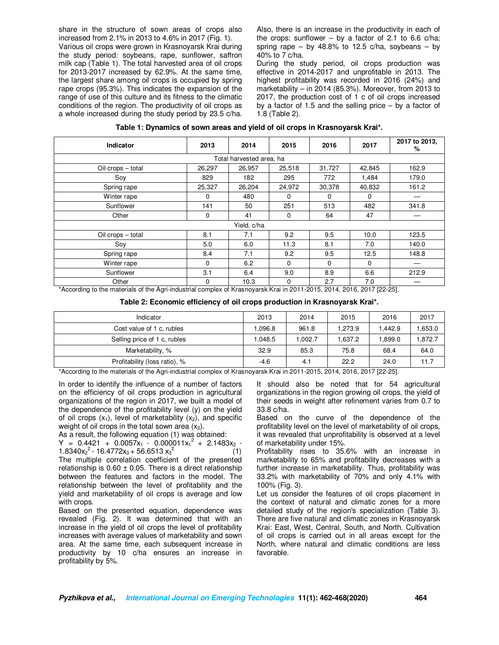share in the structure of sown areas of crops also increased from 2.1% in 2013 to 4.6% in 2017 (Fig. 1). Various oil crops were grown in Krasnoyarsk Krai during the study period: soybeans, rape, sunflower, saffron milk cap (Table 1). The total harvested area of oil crops for 2013-2017 increased by 62.9%. At the same time, the largest share among oil crops is occupied by spring rape crops (95.3%). This indicates the expansion of the range of use of this culture and its fitness to the climatic conditions of the region. The productivity of oil crops as a whole increased during the study period by 23.5 c/ha. Also, there is an increase in the productivity in each of the crops: sunflower – by a factor of 2.1 to 6.6 c/ha; spring rape – by  $48.8\%$  to 12.5 c/ha, soybeans – by 40% to 7 c/ha.

During the study period, oil crops production was effective in 2014-2017 and unprofitable in 2013. The highest profitability was recorded in 2016 (24%) and marketability – in 2014 (85.3%). Moreover, from 2013 to 2017, the production cost of 1 c of oil crops increased by a factor of 1.5 and the selling price  $-$  by a factor of 1.8 (Table 2).

| Indicator         | 2013        | 2014                     | 2015     | 2016     | 2017     | 2017 to 2013,<br>% |
|-------------------|-------------|--------------------------|----------|----------|----------|--------------------|
|                   |             | Total harvested area, ha |          |          |          |                    |
| Oil crops - total | 26,297      | 26,957                   | 25,518   | 31,727   | 42,845   | 162.9              |
| Sov               | 829         | 182                      | 295      | 772      | 1,484    | 179.0              |
| Spring rape       | 25,327      | 26,204                   | 24,972   | 30,378   | 40,832   | 161.2              |
| Winter rape       | 0           | 480                      | $\Omega$ | $\Omega$ | $\Omega$ |                    |
| Sunflower         | 141         | 50                       | 251      | 513      | 482      | 341.8              |
| Other             | $\mathbf 0$ | 41                       | $\Omega$ | 64       | 47       |                    |
|                   |             | Yield, c/ha              |          |          |          |                    |
| Oil crops - total | 8.1         | 7.1                      | 9.2      | 9.5      | 10.0     | 123.5              |
| Soy               | 5.0         | 6.0                      | 11.3     | 8.1      | 7.0      | 140.0              |
| Spring rape       | 8.4         | 7.1                      | 9.2      | 9.5      | 12.5     | 148.8              |
| Winter rape       | $\Omega$    | 6.2                      | $\Omega$ | $\Omega$ | $\Omega$ | —                  |
| Sunflower         | 3.1         | 6.4                      | 9.0      | 8.9      | 6.6      | 212.9              |
| Other             | 0           | 10.3                     | $\Omega$ | 2.7      | 7.0      |                    |

|  |  |  |  | Table 1: Dynamics of sown areas and yield of oil crops in Krasnoyarsk Krai*. |
|--|--|--|--|------------------------------------------------------------------------------|
|--|--|--|--|------------------------------------------------------------------------------|

\*According to the materials of the Agri-industrial complex of Krasnoyarsk Krai in 2011-2015, 2014, 2016, 2017 [22-25].

| Indicator                     | 2013   | 2014   | 2015    | 2016    | 2017   |
|-------------------------------|--------|--------|---------|---------|--------|
| Cost value of 1 c, rubles     | .096.8 | 961.8  | 1.273.9 | 1.442.9 | .653.0 |
| Selling price of 1 c, rubles  | .048.5 | .002.7 | .637.2  | .899.0  | .872.7 |
| Marketability, %              | 32.9   | 85.3   | 75.8    | 68.4    | 64.0   |
| Profitability (loss ratio), % | $-4.6$ | 4.1    | 22.2    | 24.0    | 11.7   |

\*According to the materials of the Agri-industrial complex of Krasnoyarsk Krai in 2011-2015, 2014, 2016, 2017 [22-25].

In order to identify the influence of a number of factors on the efficiency of oil crops production in agricultural organizations of the region in 2017, we built a model of the dependence of the profitability level (y) on the yield of oil crops  $(x_1)$ , level of marketability  $(x_2)$ , and specific weight of oil crops in the total sown area  $(x_3)$ .

As a result, the following equation (1) was obtained:

 $Y = 0.4421 + 0.0057x_1 - 0.000011x_1^2 + 2.1483x_2 -$ 1.8340 $x_2^2$  - 16.4772 $x_3$  + 56.6513  $x_3$  $2(1)$ The multiple correlation coefficient of the presented relationship is  $0.60 \pm 0.05$ . There is a direct relationship between the features and factors in the model. The relationship between the level of profitability and the yield and marketability of oil crops is average and low

with crops. Based on the presented equation, dependence was revealed (Fig. 2). It was determined that with an increase in the yield of oil crops the level of profitability increases with average values of marketability and sown area. At the same time, each subsequent increase in productivity by 10 c/ha ensures an increase in

profitability by 5%.

It should also be noted that for 54 agricultural organizations in the region growing oil crops, the yield of their seeds in weight after refinement varies from 0.7 to 33.8 c/ha.

Based on the curve of the dependence of the profitability level on the level of marketability of oil crops, it was revealed that unprofitability is observed at a level of marketability under 15%.

Profitability rises to 35.6% with an increase in marketability to 65% and profitability decreases with a further increase in marketability. Thus, profitability was 33.2% with marketability of 70% and only 4.1% with 100% (Fig. 3).

Let us consider the features of oil crops placement in the context of natural and climatic zones for a more detailed study of the region's specialization (Table 3). There are five natural and climatic zones in Krasnoyarsk Krai: East, West, Central, South, and North. Cultivation of oil crops is carried out in all areas except for the North, where natural and climatic conditions are less favorable.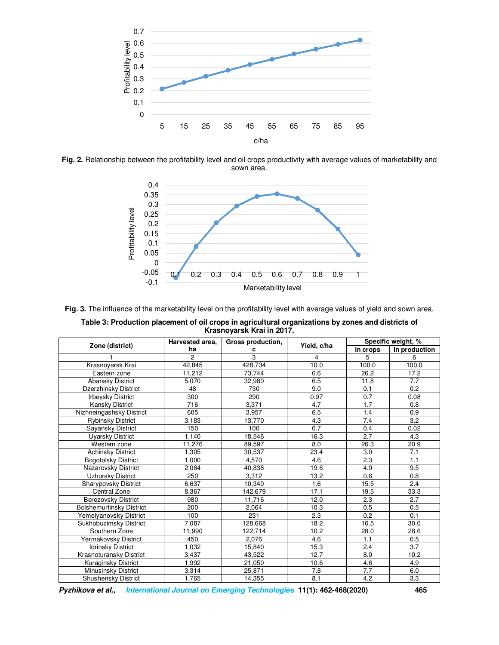

**Fig. 2.** Relationship between the profitability level and oil crops productivity with average values of marketability and sown area.



**Fig. 3.** The influence of the marketability level on the profitability level with average values of yield and sown area.

| Table 3: Production placement of oil crops in agricultural organizations by zones and districts of |
|----------------------------------------------------------------------------------------------------|
| Krasnovarsk Krai in 2017.                                                                          |

|                                 | Harvested area, | Gross production, |             | Specific weight, % |               |  |
|---------------------------------|-----------------|-------------------|-------------|--------------------|---------------|--|
| Zone (district)                 | ha              | с                 | Yield, c/ha | in crops           | in production |  |
|                                 | $\overline{2}$  | 3                 | 4           | 5                  | 6             |  |
| Krasnoyarsk Krai                | 42,845          | 428,734           | 10.0        | 100.0              | 100.0         |  |
| Eastern zone                    | 11,212          | 73,744            | 6.6         | 26.2               | 17.2          |  |
| <b>Abansky District</b>         | 5,070           | 32,980            | 6.5         | 11.8               | 7.7           |  |
| Dzerzhinsky District            | 48              | 730               | 9.0         | 0.1                | 0.2           |  |
| <b>Irbeysky District</b>        | 300             | 290               | 0.97        | 0.7                | 0.08          |  |
| <b>Kansky District</b>          | 716             | 3,371             | 4.7         | 1.7                | 0.8           |  |
| Nizhneingashsky District        | 605             | 3,957             | 6.5         | 1.4                | 0.9           |  |
| <b>Rybinsky District</b>        | 3,183           | 13,770            | 4.3         | 7.4                | 3.2           |  |
| Sayansky District               | 150             | 100               | 0.7         | 0.4                | 0.02          |  |
| Uyarsky District                | 1,140           | 18,546            | 16.3        | 2.7                | 4.3           |  |
| Western zone                    | 11,276          | 89,597            | 8.0         | 26.3               | 20.9          |  |
| <b>Achinsky District</b>        | 1,305           | 30,537            | 23.4        | 3.0                | 7.1           |  |
| <b>Bogotolsky District</b>      | 1.000           | 4.570             | 4.6         | 2.3                | 1.1           |  |
| Nazarovsky District             | 2,084           | 40,838            | 19.6        | 4.9                | 9.5           |  |
| Uzhursky District               | 250             | 3,312             | 13.2        | 0.6                | 0.8           |  |
| Sharypovsky District            | 6,637           | 10,340            | 1.6         | 15.5               | 2.4           |  |
| Central Zone                    | 8,367           | 142,679           | 17.1        | 19.5               | 33.3          |  |
| <b>Berezovsky District</b>      | 980             | 11,716            | 12.0        | 2.3                | 2.7           |  |
| <b>Bolshemurtinsky District</b> | 200             | 2,064             | 10.3        | 0.5                | 0.5           |  |
| Yemelyanovsky District          | 100             | 231               | 2.3         | 0.2                | 0.1           |  |
| Sukhobuzimsky District          | 7,087           | 128,668           | 18.2        | 16.5               | 30.0          |  |
| Southern Zone                   | 11,990          | 122.714           | 10.2        | 28.0               | 28.6          |  |
| Yermakovsky District            | 450             | 2,076             | 4.6         | 1.1                | 0.5           |  |
| <b>Idrinsky District</b>        | 1,032           | 15,840            | 15.3        | 2.4                | 3.7           |  |
| Krasnoturansky District         | 3,437           | 43,522            | 12.7        | 8.0                | 10.2          |  |
| Kuraginsky District             | 1,992           | 21,050            | 10.6        | 4.6                | 4.9           |  |
| Minusinsky District             | 3,314           | 25,871            | 7.8         | 7.7                | 6.0           |  |
| <b>Shushensky District</b>      | 1.765           | 14.355            | 8.1         | 4.2                | 3.3           |  |

**Pyzhikova et al., International Journal on Emerging Technologies 11(1): 462-468(2020) 465**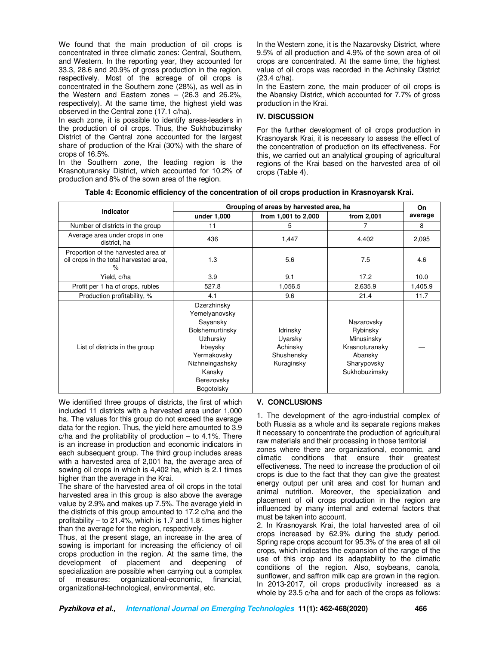We found that the main production of oil crops is concentrated in three climatic zones: Central, Southern, and Western. In the reporting year, they accounted for 33.3, 28.6 and 20.9% of gross production in the region, respectively. Most of the acreage of oil crops is concentrated in the Southern zone (28%), as well as in the Western and Eastern zones – (26.3 and 26.2%, respectively). At the same time, the highest yield was observed in the Central zone (17.1 c/ha).

In each zone, it is possible to identify areas-leaders in the production of oil crops. Thus, the Sukhobuzimsky District of the Central zone accounted for the largest share of production of the Krai (30%) with the share of crops of 16.5%.

In the Southern zone, the leading region is the Krasnoturansky District, which accounted for 10.2% of production and 8% of the sown area of the region.

In the Western zone, it is the Nazarovsky District, where 9.5% of all production and 4.9% of the sown area of oil crops are concentrated. At the same time, the highest value of oil crops was recorded in the Achinsky District (23.4 c/ha).

In the Eastern zone, the main producer of oil crops is the Abansky District, which accounted for 7.7% of gross production in the Krai.

## **IV. DISCUSSION**

For the further development of oil crops production in Krasnoyarsk Krai, it is necessary to assess the effect of the concentration of production on its effectiveness. For this, we carried out an analytical grouping of agricultural regions of the Krai based on the harvested area of oil crops (Table 4).

| Table 4: Economic efficiency of the concentration of oil crops production in Krasnoyarsk Krai. |  |  |  |
|------------------------------------------------------------------------------------------------|--|--|--|
|------------------------------------------------------------------------------------------------|--|--|--|

| Indicator                                                                             | Grouping of areas by harvested area, ha                                                                                                                     | On                                                          |                                                                                                   |         |
|---------------------------------------------------------------------------------------|-------------------------------------------------------------------------------------------------------------------------------------------------------------|-------------------------------------------------------------|---------------------------------------------------------------------------------------------------|---------|
|                                                                                       | under 1,000                                                                                                                                                 | from 1,001 to 2,000                                         | from 2,001                                                                                        | average |
| Number of districts in the group                                                      | 11                                                                                                                                                          | 5                                                           |                                                                                                   | 8       |
| Average area under crops in one<br>district, ha                                       | 436                                                                                                                                                         | 1,447                                                       | 4,402                                                                                             | 2,095   |
| Proportion of the harvested area of<br>oil crops in the total harvested area,<br>$\%$ | 1.3                                                                                                                                                         | 5.6                                                         | 7.5                                                                                               | 4.6     |
| Yield, c/ha                                                                           | 3.9                                                                                                                                                         | 9.1                                                         | 17.2                                                                                              | 10.0    |
| Profit per 1 ha of crops, rubles                                                      | 527.8                                                                                                                                                       | 1,056.5                                                     | 2,635.9                                                                                           | 1,405.9 |
| Production profitability, %                                                           | 4.1                                                                                                                                                         | 9.6                                                         | 21.4                                                                                              | 11.7    |
| List of districts in the group                                                        | Dzerzhinsky<br>Yemelyanovsky<br>Sayansky<br>Bolshemurtinsky<br>Uzhursky<br>Irbeysky<br>Yermakovsky<br>Nizhneingashsky<br>Kansky<br>Berezovsky<br>Bogotolsky | ldrinsky<br>Uyarsky<br>Achinsky<br>Shushensky<br>Kuraginsky | Nazarovsky<br>Rybinsky<br>Minusinsky<br>Krasnoturansky<br>Abansky<br>Sharypovsky<br>Sukhobuzimsky |         |

We identified three groups of districts, the first of which included 11 districts with a harvested area under 1,000 ha. The values for this group do not exceed the average data for the region. Thus, the yield here amounted to 3.9  $c/ha$  and the profitability of production – to 4.1%. There is an increase in production and economic indicators in each subsequent group. The third group includes areas with a harvested area of 2,001 ha, the average area of sowing oil crops in which is 4,402 ha, which is 2.1 times higher than the average in the Krai.

The share of the harvested area of oil crops in the total harvested area in this group is also above the average value by 2.9% and makes up 7.5%. The average yield in the districts of this group amounted to 17.2 c/ha and the profitability – to 21.4%, which is 1.7 and 1.8 times higher than the average for the region, respectively.

Thus, at the present stage, an increase in the area of sowing is important for increasing the efficiency of oil crops production in the region. At the same time, the development of placement and deepening of specialization are possible when carrying out a complex of measures: organizational-economic, financial, organizational-technological, environmental, etc.

## **V. CONCLUSIONS**

1. The development of the agro-industrial complex of both Russia as a whole and its separate regions makes it necessary to concentrate the production of agricultural raw materials and their processing in those territorial

zones where there are organizational, economic, and climatic conditions that ensure their greatest effectiveness. The need to increase the production of oil crops is due to the fact that they can give the greatest energy output per unit area and cost for human and animal nutrition. Moreover, the specialization and placement of oil crops production in the region are influenced by many internal and external factors that must be taken into account.

2. In Krasnoyarsk Krai, the total harvested area of oil crops increased by 62.9% during the study period. Spring rape crops account for 95.3% of the area of all oil crops, which indicates the expansion of the range of the use of this crop and its adaptability to the climatic conditions of the region. Also, soybeans, canola, sunflower, and saffron milk cap are grown in the region. In 2013-2017, oil crops productivity increased as a whole by 23.5 c/ha and for each of the crops as follows: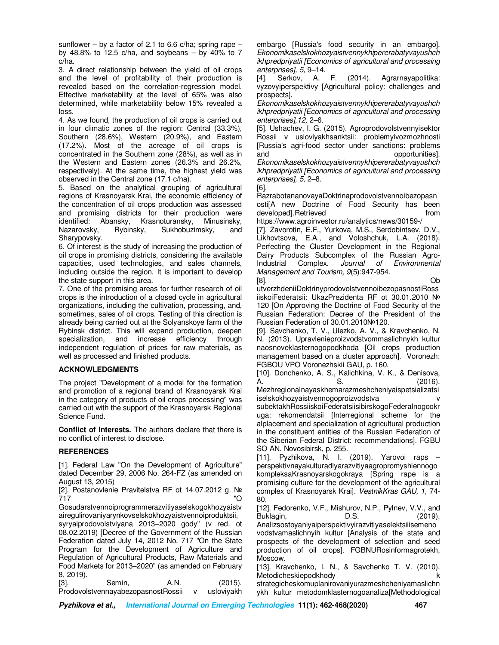sunflower – by a factor of 2.1 to 6.6 c/ha; spring rape – by 48.8% to 12.5 c/ha, and soybeans  $-$  by 40% to 7 c/ha.

3. A direct relationship between the yield of oil crops and the level of profitability of their production is revealed based on the correlation-regression model. Effective marketability at the level of 65% was also determined, while marketability below 15% revealed a loss.

4. As we found, the production of oil crops is carried out in four climatic zones of the region: Central (33.3%), Southern (28.6%), Western (20.9%), and Eastern (17.2%). Most of the acreage of oil crops is concentrated in the Southern zone (28%), as well as in the Western and Eastern zones (26.3% and 26.2%, respectively). At the same time, the highest yield was observed in the Central zone (17.1 c/ha).

5. Based on the analytical grouping of agricultural regions of Krasnoyarsk Krai, the economic efficiency of the concentration of oil crops production was assessed and promising districts for their production were identified: Abansky, Krasnoturansky, Minusinsky, Nazarovsky, Rybinsky, Sukhobuzimsky, and Sharypovsky.

6. Of interest is the study of increasing the production of oil crops in promising districts, considering the available capacities, used technologies, and sales channels, including outside the region. It is important to develop the state support in this area.

7. One of the promising areas for further research of oil crops is the introduction of a closed cycle in agricultural organizations, including the cultivation, processing, and, sometimes, sales of oil crops. Testing of this direction is already being carried out at the Solyanskoye farm of the Rybinsk district. This will expand production, deepen specialization, and increase efficiency through independent regulation of prices for raw materials, as well as processed and finished products.

## **ACKNOWLEDGMENTS**

The project "Development of a model for the formation and promotion of a regional brand of Krasnoyarsk Krai in the category of products of oil crops processing" was carried out with the support of the Krasnoyarsk Regional Science Fund.

**Conflict of Interests.** The authors declare that there is no conflict of interest to disclose.

## **REFERENCES**

[1]. Federal Law "On the Development of Agriculture" dated December 29, 2006 No. 264-FZ (as amended on August 13, 2015)

[2]. Postanovlenie Pravitelstva RF ot 14.07.2012 g. № 717 "O

Gosudarstvennoiprogrammerazvitiyaselskogokhozyaistv airegulirovaniyarynkovselskokhozyaistvennoiproduktsii,

syryaiprodovolstviyana 2013–2020 gody" (v red. ot 08.02.2019) [Decree of the Government of the Russian Federation dated July 14, 2012 No. 717 "On the State Program for the Development of Agriculture and Regulation of Agricultural Products, Raw Materials and Food Markets for 2013–2020" (as amended on February 8, 2019).

[3]. Semin, A.N. (2015).<br>ProdovolstvennavabezopasnostRossii v uslovivakh ProdovolstvennayabezopasnostRossii v

embargo [Russia's food security in an embargo]. *Ekonomikaselskokhozyaistvennykhipererabatyvayushch ikhpredpriyatii [Economics of agricultural and processing enterprises], 5,* 9–14.

[4]. Serkov, A. F. (2014). Agrarnayapolitika: vyzovyiperspektivy [Agricultural policy: challenges and prospects].

*Ekonomikaselskokhozyaistvennykhipererabatyvayushch ikhpredpriyatii [Economics of agricultural and processing enterprises],12,* 2–6.

[5]. Ushachev, I. G. (2015). Agroprodovolstvennyisektor Rossii v usloviyakhsanktsii: problemyivozmozhnosti [Russia's agri-food sector under sanctions: problems and **opportunities**. *Ekonomikaselskokhozyaistvennykhipererabatyvayushch ikhpredpriyatii [Economics of agricultural and processing enterprises], 5,* 2–8.

[6].

RazrabotananovayaDoktrinaprodovolstvennoibezopasn osti[A new Doctrine of Food Security has been developed].Retrieved from from

https://www.agroinvestor.ru/analytics/news/30159-/ [7]. Zavorotin, E.F., Yurkova, M.S., Serdobintsev, D.V., Likhovtsova, E.A., and Voloshchuk, L.A. (2018). Perfecting the Cluster Development in the Regional Dairy Products Subcomplex of the Russian Agro-Industrial Complex. *Journal of Environmental Management and Tourism, 9*(5):947-954.

[8]. Ob utverzhdeniiDoktrinyprodovolstvennoibezopasnostiRoss iiskoiFederatsii: UkazPrezidenta RF ot 30.01.2010 № 120 [On Approving the Doctrine of Food Security of the Russian Federation: Decree of the President of the Russian Federation of 30.01.2010№120.

[9]. Savchenko, T. V., Ulezko, A. V., & Kravchenko, N. N. (2013). Upravlenieproizvodstvommaslichnykh kultur naosnoveklasternogopodkhoda [Oil crops production management based on a cluster approach]. Voronezh: FGBOU VPO Voronezhskii GAU, p. 160.

[10]. Donchenko, A. S., Kalichkina, V. K., & Denisova, A. S. (2016).

Mezhregionalnayaskhemarazmeshcheniyaispetsializatsi iselskokhozyaistvennogoproizvodstva subektakhRossiiskoiFederatsiisibirskogoFederalnogookr

uga: rekomendatsii [Interregional scheme for the alplacement and specialization of agricultural production in the constituent entities of the Russian Federation of the Siberian Federal District: recommendations]. FGBU SO AN. Novosibirsk, p. 255.

[11]. Pyzhikova, N. I. (2019). Yarovoi raps – perspektivnayakulturadlyarazvitiyaagropromyshlennogo kompleksaKrasnoyarskogokraya [Spring rape is a promising culture for the development of the agricultural complex of Krasnoyarsk Krai]. *VestnikKras GAU, 1,* 74- 80.

[12]. Fedorenko, V.F., Mishurov, N.P., Pylnev, V.V., and Buklagin, D.S. (2019).

Analizsostoyaniyaiperspektivyirazvitiyaselektsiiisemeno vodstvamaslichnyih kultur [Analysis of the state and prospects of the development of selection and seed production of oil crops]. FGBNURosinformagrotekh, Moscow.

[13]. Kravchenko, I. N., & Savchenko T. V. (2010). Metodicheskiepodkhody komponiese komponiese komponiese komponiese komponiese komponiese komponiese komponiese k

strategicheskomuplanirovaniyurazmeshcheniyamaslichn ykh kultur metodomklasternogoanaliza[Methodological